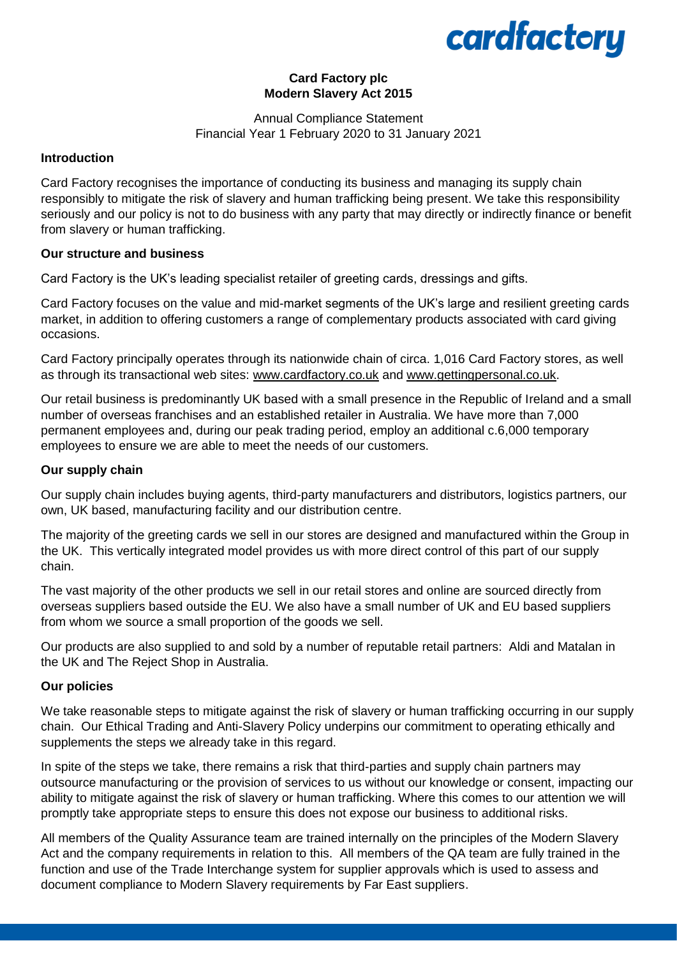## cardfactory

## **Card Factory plc Modern Slavery Act 2015**

## Annual Compliance Statement Financial Year 1 February 2020 to 31 January 2021

## **Introduction**

Card Factory recognises the importance of conducting its business and managing its supply chain responsibly to mitigate the risk of slavery and human trafficking being present. We take this responsibility seriously and our policy is not to do business with any party that may directly or indirectly finance or benefit from slavery or human trafficking.

#### **Our structure and business**

Card Factory is the UK's leading specialist retailer of greeting cards, dressings and gifts.

Card Factory focuses on the value and mid-market segments of the UK's large and resilient greeting cards market, in addition to offering customers a range of complementary products associated with card giving occasions.

Card Factory principally operates through its nationwide chain of circa. 1,016 Card Factory stores, as well as through its transactional web sites: [www.cardfactory.co.uk](http://www.cardfactory.co.uk/) and [www.gettingpersonal.co.uk.](http://www.gettingpersonal.co.uk/)

Our retail business is predominantly UK based with a small presence in the Republic of Ireland and a small number of overseas franchises and an established retailer in Australia. We have more than 7,000 permanent employees and, during our peak trading period, employ an additional c.6,000 temporary employees to ensure we are able to meet the needs of our customers.

## **Our supply chain**

Our supply chain includes buying agents, third-party manufacturers and distributors, logistics partners, our own, UK based, manufacturing facility and our distribution centre.

The majority of the greeting cards we sell in our stores are designed and manufactured within the Group in the UK. This vertically integrated model provides us with more direct control of this part of our supply chain.

The vast majority of the other products we sell in our retail stores and online are sourced directly from overseas suppliers based outside the EU. We also have a small number of UK and EU based suppliers from whom we source a small proportion of the goods we sell.

Our products are also supplied to and sold by a number of reputable retail partners: Aldi and Matalan in the UK and The Reject Shop in Australia.

## **Our policies**

We take reasonable steps to mitigate against the risk of slavery or human trafficking occurring in our supply chain. Our Ethical Trading and Anti-Slavery Policy underpins our commitment to operating ethically and supplements the steps we already take in this regard.

In spite of the steps we take, there remains a risk that third-parties and supply chain partners may outsource manufacturing or the provision of services to us without our knowledge or consent, impacting our ability to mitigate against the risk of slavery or human trafficking. Where this comes to our attention we will promptly take appropriate steps to ensure this does not expose our business to additional risks.

All members of the Quality Assurance team are trained internally on the principles of the Modern Slavery Act and the company requirements in relation to this. All members of the QA team are fully trained in the function and use of the Trade Interchange system for supplier approvals which is used to assess and document compliance to Modern Slavery requirements by Far East suppliers.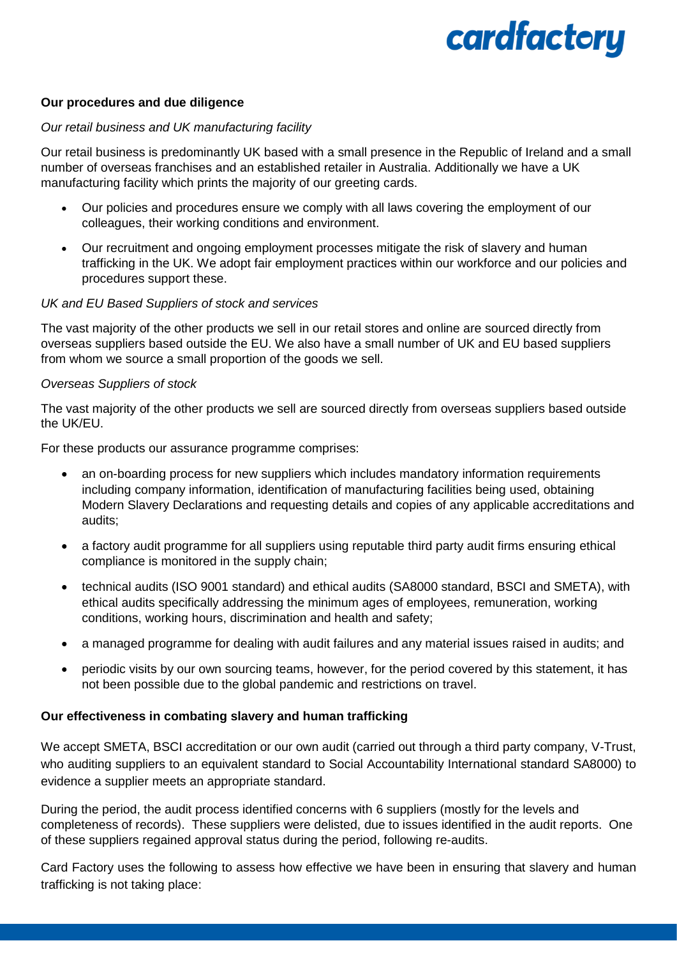# cardfactory

#### **Our procedures and due diligence**

#### *Our retail business and UK manufacturing facility*

Our retail business is predominantly UK based with a small presence in the Republic of Ireland and a small number of overseas franchises and an established retailer in Australia. Additionally we have a UK manufacturing facility which prints the majority of our greeting cards.

- Our policies and procedures ensure we comply with all laws covering the employment of our colleagues, their working conditions and environment.
- Our recruitment and ongoing employment processes mitigate the risk of slavery and human trafficking in the UK. We adopt fair employment practices within our workforce and our policies and procedures support these.

#### *UK and EU Based Suppliers of stock and services*

The vast majority of the other products we sell in our retail stores and online are sourced directly from overseas suppliers based outside the EU. We also have a small number of UK and EU based suppliers from whom we source a small proportion of the goods we sell.

#### *Overseas Suppliers of stock*

The vast majority of the other products we sell are sourced directly from overseas suppliers based outside the UK/EU.

For these products our assurance programme comprises:

- an on-boarding process for new suppliers which includes mandatory information requirements including company information, identification of manufacturing facilities being used, obtaining Modern Slavery Declarations and requesting details and copies of any applicable accreditations and audits;
- a factory audit programme for all suppliers using reputable third party audit firms ensuring ethical compliance is monitored in the supply chain;
- technical audits (ISO 9001 standard) and ethical audits (SA8000 standard, BSCI and SMETA), with ethical audits specifically addressing the minimum ages of employees, remuneration, working conditions, working hours, discrimination and health and safety;
- a managed programme for dealing with audit failures and any material issues raised in audits; and
- periodic visits by our own sourcing teams, however, for the period covered by this statement, it has not been possible due to the global pandemic and restrictions on travel.

#### **Our effectiveness in combating slavery and human trafficking**

We accept SMETA, BSCI accreditation or our own audit (carried out through a third party company, V-Trust, who auditing suppliers to an equivalent standard to Social Accountability International standard SA8000) to evidence a supplier meets an appropriate standard.

During the period, the audit process identified concerns with 6 suppliers (mostly for the levels and completeness of records). These suppliers were delisted, due to issues identified in the audit reports. One of these suppliers regained approval status during the period, following re-audits.

Card Factory uses the following to assess how effective we have been in ensuring that slavery and human trafficking is not taking place: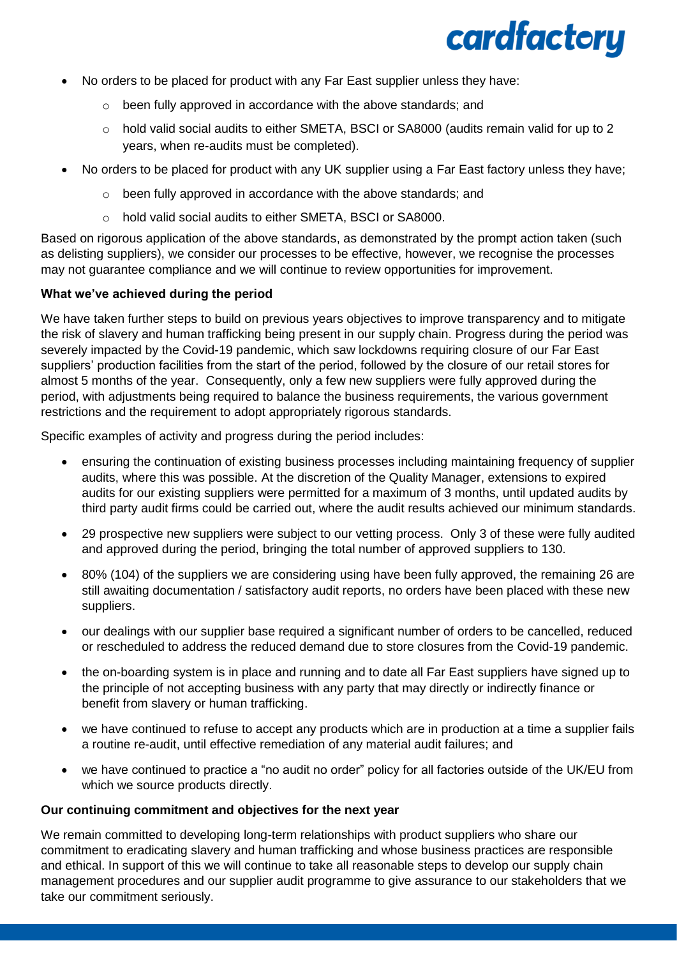

- No orders to be placed for product with any Far East supplier unless they have:
	- o been fully approved in accordance with the above standards; and
	- o hold valid social audits to either SMETA, BSCI or SA8000 (audits remain valid for up to 2 years, when re-audits must be completed).
- No orders to be placed for product with any UK supplier using a Far East factory unless they have;
	- o been fully approved in accordance with the above standards; and
	- o hold valid social audits to either SMETA, BSCI or SA8000.

Based on rigorous application of the above standards, as demonstrated by the prompt action taken (such as delisting suppliers), we consider our processes to be effective, however, we recognise the processes may not guarantee compliance and we will continue to review opportunities for improvement.

#### **What we've achieved during the period**

We have taken further steps to build on previous vears objectives to improve transparency and to mitigate the risk of slavery and human trafficking being present in our supply chain. Progress during the period was severely impacted by the Covid-19 pandemic, which saw lockdowns requiring closure of our Far East suppliers' production facilities from the start of the period, followed by the closure of our retail stores for almost 5 months of the year. Consequently, only a few new suppliers were fully approved during the period, with adjustments being required to balance the business requirements, the various government restrictions and the requirement to adopt appropriately rigorous standards.

Specific examples of activity and progress during the period includes:

- ensuring the continuation of existing business processes including maintaining frequency of supplier audits, where this was possible. At the discretion of the Quality Manager, extensions to expired audits for our existing suppliers were permitted for a maximum of 3 months, until updated audits by third party audit firms could be carried out, where the audit results achieved our minimum standards.
- 29 prospective new suppliers were subject to our vetting process. Only 3 of these were fully audited and approved during the period, bringing the total number of approved suppliers to 130.
- 80% (104) of the suppliers we are considering using have been fully approved, the remaining 26 are still awaiting documentation / satisfactory audit reports, no orders have been placed with these new suppliers.
- our dealings with our supplier base required a significant number of orders to be cancelled, reduced or rescheduled to address the reduced demand due to store closures from the Covid-19 pandemic.
- the on-boarding system is in place and running and to date all Far East suppliers have signed up to the principle of not accepting business with any party that may directly or indirectly finance or benefit from slavery or human trafficking.
- we have continued to refuse to accept any products which are in production at a time a supplier fails a routine re-audit, until effective remediation of any material audit failures; and
- we have continued to practice a "no audit no order" policy for all factories outside of the UK/EU from which we source products directly.

#### **Our continuing commitment and objectives for the next year**

We remain committed to developing long-term relationships with product suppliers who share our commitment to eradicating slavery and human trafficking and whose business practices are responsible and ethical. In support of this we will continue to take all reasonable steps to develop our supply chain management procedures and our supplier audit programme to give assurance to our stakeholders that we take our commitment seriously.